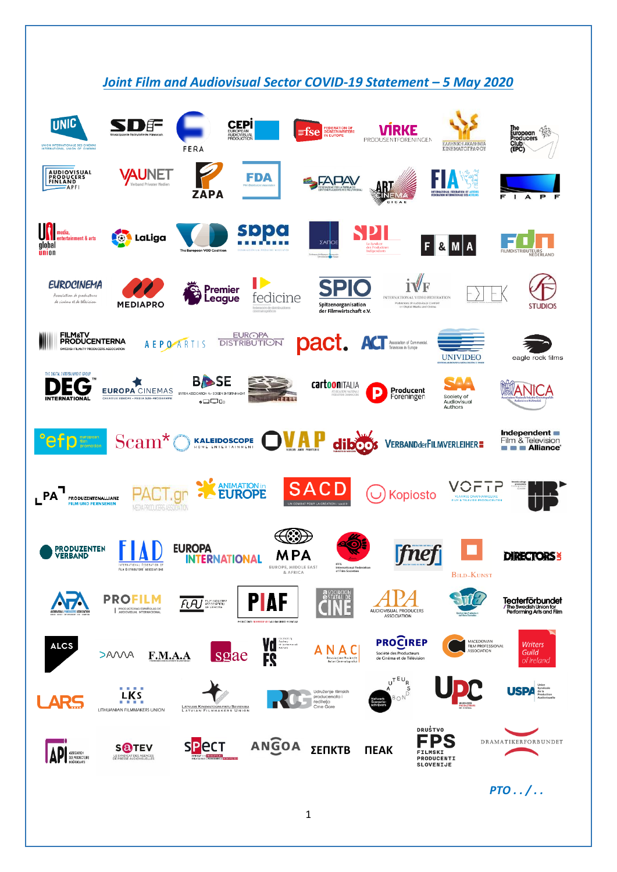